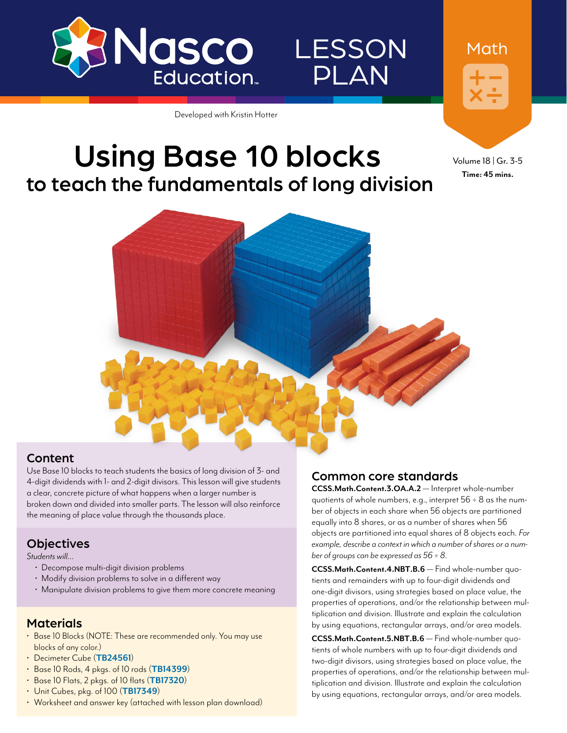

## LESSON PLAN

Developed with Kristin Hotter

## Using Base 10 blocks to teach the fundamentals of long division

### Content

Use Base 10 blocks to teach students the basics of long division of 3- and 4-digit dividends with 1- and 2-digit divisors. This lesson will give students a clear, concrete picture of what happens when a larger number is broken down and divided into smaller parts. The lesson will also reinforce the meaning of place value through the thousands place.

### **Objectives**

*Students will…*

- Decompose multi-digit division problems
- Modify division problems to solve in a different way
- Manipulate division problems to give them more concrete meaning

#### **Materials**

- Base 10 Blocks (NOTE: These are recommended only. You may use blocks of any color.)
- Decimeter Cube (**[TB24561](http://www.enasco.com/p/TB24561)**)
- Base 10 Rods, 4 pkgs. of 10 rods (**[TB14399](http://www.enasco.com/p/TB14399)**)
- Base 10 Flats, 2 pkgs. of 10 flats (**[TB17320](http://www.enasco.com/p/TB17320)**)
- Unit Cubes, pkg. of 100 (**[TB17349](http://www.enasco.com/p/TB17349)**)
- Worksheet and answer key (attached with lesson plan download)

#### Common core standards

**CCSS.Math.Content.3.OA.A.2** — Interpret whole-number quotients of whole numbers, e.g., interpret 56 ÷ 8 as the number of objects in each share when 56 objects are partitioned equally into 8 shares, or as a number of shares when 56 objects are partitioned into equal shares of 8 objects each. *For example, describe a context in which a number of shares or a number of groups can be expressed as 56 ÷ 8.*

**CCSS.Math.Content.4.NBT.B.6** — Find whole-number quotients and remainders with up to four-digit dividends and one-digit divisors, using strategies based on place value, the properties of operations, and/or the relationship between multiplication and division. Illustrate and explain the calculation by using equations, rectangular arrays, and/or area models.

**CCSS.Math.Content.5.NBT.B.6** — Find whole-number quotients of whole numbers with up to four-digit dividends and two-digit divisors, using strategies based on place value, the properties of operations, and/or the relationship between multiplication and division. Illustrate and explain the calculation by using equations, rectangular arrays, and/or area models.

Volume 18 | Gr. 3-5 **Time: 45 mins.**

Math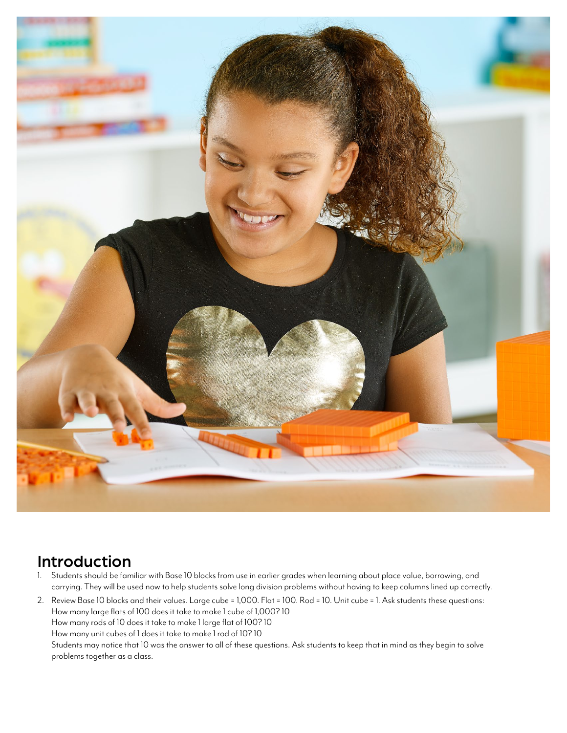

## Introduction

- 1. Students should be familiar with Base 10 blocks from use in earlier grades when learning about place value, borrowing, and carrying. They will be used now to help students solve long division problems without having to keep columns lined up correctly.
- 2. Review Base 10 blocks and their values. Large cube = 1,000. Flat = 100. Rod = 10. Unit cube = 1. Ask students these questions: How many large flats of 100 does it take to make 1 cube of 1,000? 10 How many rods of 10 does it take to make 1 large flat of 100? 10 How many unit cubes of 1 does it take to make 1 rod of 10? 10 Students may notice that 10 was the answer to all of these questions. Ask students to keep that in mind as they begin to solve problems together as a class.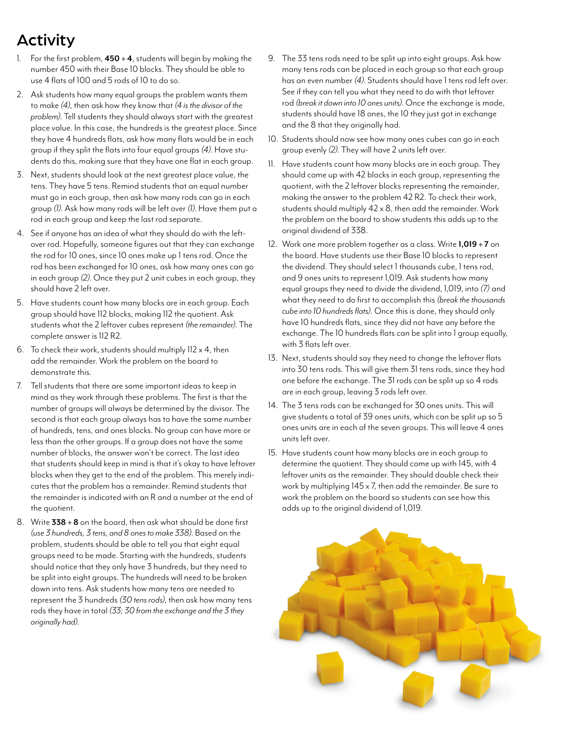## Activity

- 1. For the first problem, **450 ÷ 4**, students will begin by making the number 450 with their Base 10 blocks. They should be able to use 4 flats of 100 and 5 rods of 10 to do so.
- 2. Ask students how many equal groups the problem wants them to make *(4)*, then ask how they know that *(4 is the divisor of the problem)*. Tell students they should always start with the greatest place value. In this case, the hundreds is the greatest place. Since they have 4 hundreds flats, ask how many flats would be in each group if they split the flats into four equal groups *(4)*. Have students do this, making sure that they have one flat in each group.
- 3. Next, students should look at the next greatest place value, the tens. They have 5 tens. Remind students that an equal number must go in each group, then ask how many rods can go in each group *(1)*. Ask how many rods will be left over *(1)*. Have them put a rod in each group and keep the last rod separate.
- 4. See if anyone has an idea of what they should do with the leftover rod. Hopefully, someone figures out that they can exchange the rod for 10 ones, since 10 ones make up 1 tens rod. Once the rod has been exchanged for 10 ones, ask how many ones can go in each group *(2)*. Once they put 2 unit cubes in each group, they should have 2 left over.
- 5. Have students count how many blocks are in each group. Each group should have 112 blocks, making 112 the quotient. Ask students what the 2 leftover cubes represent *(the remainder)*. The complete answer is 112 R2.
- 6. To check their work, students should multiply  $112 \times 4$ , then add the remainder. Work the problem on the board to demonstrate this.
- 7. Tell students that there are some important ideas to keep in mind as they work through these problems. The first is that the number of groups will always be determined by the divisor. The second is that each group always has to have the same number of hundreds, tens, and ones blocks. No group can have more or less than the other groups. If a group does not have the same number of blocks, the answer won't be correct. The last idea that students should keep in mind is that it's okay to have leftover blocks when they get to the end of the problem. This merely indicates that the problem has a remainder. Remind students that the remainder is indicated with an R and a number at the end of the quotient.
- 8. Write **338 ÷ 8** on the board, then ask what should be done first *(use 3 hundreds, 3 tens, and 8 ones to make 338)*. Based on the problem, students should be able to tell you that eight equal groups need to be made. Starting with the hundreds, students should notice that they only have 3 hundreds, but they need to be split into eight groups. The hundreds will need to be broken down into tens. Ask students how many tens are needed to represent the 3 hundreds *(30 tens rods)*, then ask how many tens rods they have in total *(33; 30 from the exchange and the 3 they originally had)*.
- 9. The 33 tens rods need to be split up into eight groups. Ask how many tens rods can be placed in each group so that each group has an even number *(4)*. Students should have 1 tens rod left over. See if they can tell you what they need to do with that leftover rod *(break it down into 10 ones units)*. Once the exchange is made, students should have 18 ones, the 10 they just got in exchange and the 8 that they originally had.
- 10. Students should now see how many ones cubes can go in each group evenly *(2)*. They will have 2 units left over.
- 11. Have students count how many blocks are in each group. They should come up with 42 blocks in each group, representing the quotient, with the 2 leftover blocks representing the remainder, making the answer to the problem 42 R2. To check their work, students should multiply 42 x 8, then add the remainder. Work the problem on the board to show students this adds up to the original dividend of 338.
- 12. Work one more problem together as a class. Write **1,019 ÷ 7** on the board. Have students use their Base 10 blocks to represent the dividend. They should select 1 thousands cube, 1 tens rod, and 9 ones units to represent 1,019. Ask students how many equal groups they need to divide the dividend, 1,019, into *(7)* and what they need to do first to accomplish this *(break the thousands cube into 10 hundreds flats)*. Once this is done, they should only have 10 hundreds flats, since they did not have any before the exchange. The 10 hundreds flats can be split into 1 group equally, with 3 flats left over.
- 13. Next, students should say they need to change the leftover flats into 30 tens rods. This will give them 31 tens rods, since they had one before the exchange. The 31 rods can be split up so 4 rods are in each group, leaving 3 rods left over.
- 14. The 3 tens rods can be exchanged for 30 ones units. This will give students a total of 39 ones units, which can be split up so 5 ones units are in each of the seven groups. This will leave 4 ones units left over.
- 15. Have students count how many blocks are in each group to determine the quotient. They should come up with 145, with 4 leftover units as the remainder. They should double check their work by multiplying 145 x 7, then add the remainder. Be sure to work the problem on the board so students can see how this adds up to the original dividend of 1,019.

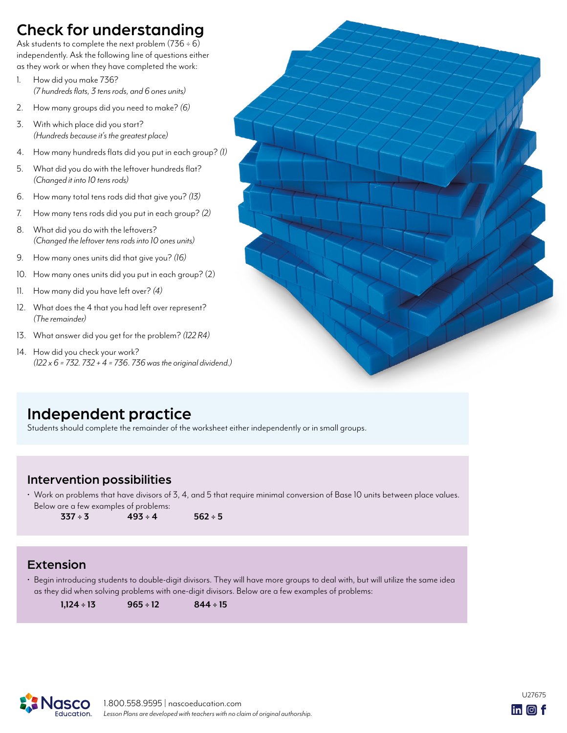## Check for understanding

Ask students to complete the next problem  $(736 \div 6)$ independently. Ask the following line of questions either as they work or when they have completed the work:

- 1. How did you make 736? *(7 hundreds flats, 3 tens rods, and 6 ones units)*
- 2. How many groups did you need to make? *(6)*
- 3. With which place did you start? *(Hundreds because it's the greatest place)*
- 4. How many hundreds flats did you put in each group? *(1)*
- 5. What did you do with the leftover hundreds flat? *(Changed it into 10 tens rods)*
- 6. How many total tens rods did that give you? *(13)*
- 7. How many tens rods did you put in each group? *(2)*
- 8. What did you do with the leftovers? *(Changed the leftover tens rods into 10 ones units)*
- 9. How many ones units did that give you? *(16)*
- 10. How many ones units did you put in each group? (2)
- 11. How many did you have left over? *(4)*
- 12. What does the 4 that you had left over represent? *(The remainder)*
- 13. What answer did you get for the problem? *(122 R4)*
- 14. How did you check your work? *(122 x 6 = 732. 732 + 4 = 736. 736 was the original dividend.)*



## Independent practice

Students should complete the remainder of the worksheet either independently or in small groups.

### Intervention possibilities

• Work on problems that have divisors of 3, 4, and 5 that require minimal conversion of Base 10 units between place values. Below are a few examples of problems:

 $337 \div 3$   $493 \div 4$   $562 \div 5$ 

### Extension

• Begin introducing students to double-digit divisors. They will have more groups to deal with, but will utilize the same idea as they did when solving problems with one-digit divisors. Below are a few examples of problems:

**1,124 ÷ 13 965 ÷ 12 844 ÷ 15**



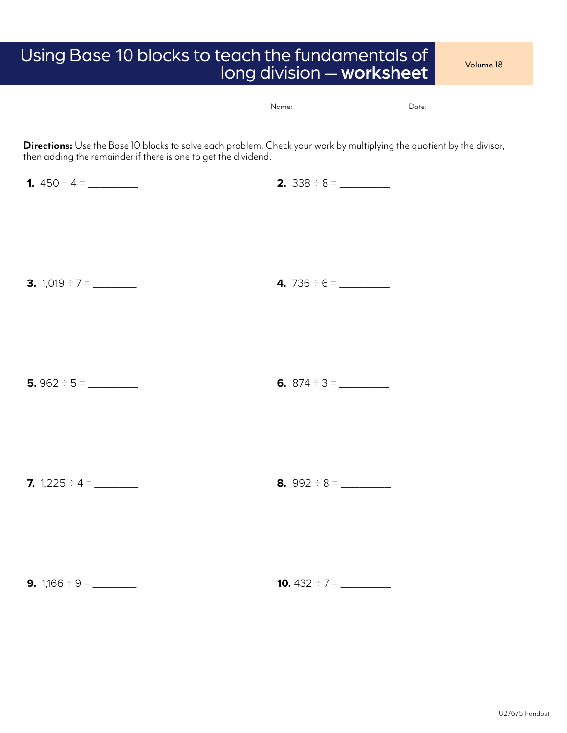# Using Base 10 blocks to teach the fundamentals of volume 18<br>long division — worksheet

|  | $\sim$ |
|--|--------|
|--|--------|

**Directions:** Use the Base 10 blocks to solve each problem. Check your work by multiplying the quotient by the divisor, then adding the remainder if there is one to get the dividend.

**1.** 450 ÷ 4 = \_\_\_\_\_\_\_\_ **2.** 338 ÷ 8 = \_\_\_\_\_\_\_\_ **3.** 1,019 ÷ 7 = \_\_\_\_\_\_\_ **4.** 736 ÷ 6 = \_\_\_\_\_\_\_\_ **5.** 962 ÷ 5 = \_\_\_\_\_\_\_\_ **6.** 874 ÷ 3 = \_\_\_\_\_\_\_\_ **7.**  $1,225 \div 4 = \_$ 

**9.** 1,166 ÷ 9 = \_\_\_\_\_\_\_ **10.** 432 ÷ 7 = \_\_\_\_\_\_\_\_